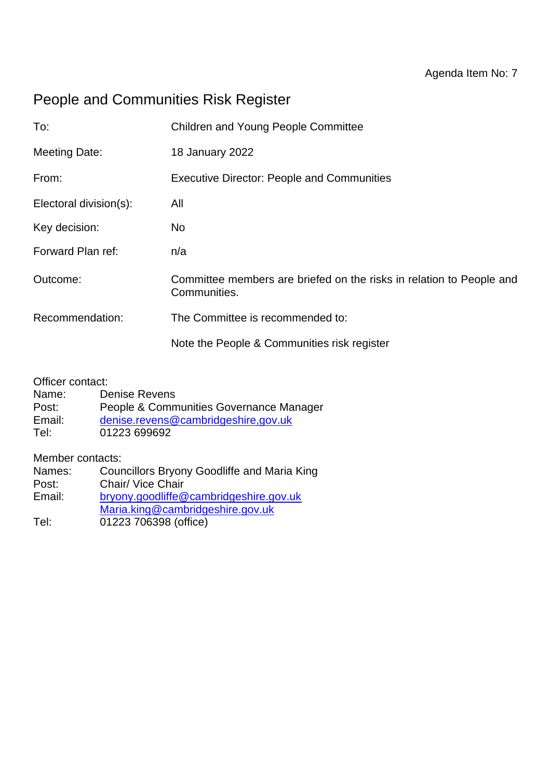## People and Communities Risk Register

| To:                    | <b>Children and Young People Committee</b>                                           |  |  |  |
|------------------------|--------------------------------------------------------------------------------------|--|--|--|
| <b>Meeting Date:</b>   | 18 January 2022                                                                      |  |  |  |
| From:                  | <b>Executive Director: People and Communities</b>                                    |  |  |  |
| Electoral division(s): | All                                                                                  |  |  |  |
| Key decision:          | No.                                                                                  |  |  |  |
| Forward Plan ref:      | n/a                                                                                  |  |  |  |
| Outcome:               | Committee members are briefed on the risks in relation to People and<br>Communities. |  |  |  |
| Recommendation:        | The Committee is recommended to:                                                     |  |  |  |
|                        | Note the People & Communities risk register                                          |  |  |  |
|                        |                                                                                      |  |  |  |

Officer contact:

- Name: Denise Revens
- Post: People & Communities Governance Manager
- Email: [denise.revens@cambridgeshire,gov.uk](mailto:denise.revens@cambridgeshire,gov.uk)
- Tel: 01223 699692

Member contacts:

| Names: | Councillors Bryony Goodliffe and Maria King |
|--------|---------------------------------------------|
| Post:  | Chair/ Vice Chair                           |
| Email: | bryony.goodliffe@cambridgeshire.gov.uk      |
|        | Maria.king@cambridgeshire.gov.uk            |
| Tel:   | 01223 706398 (office)                       |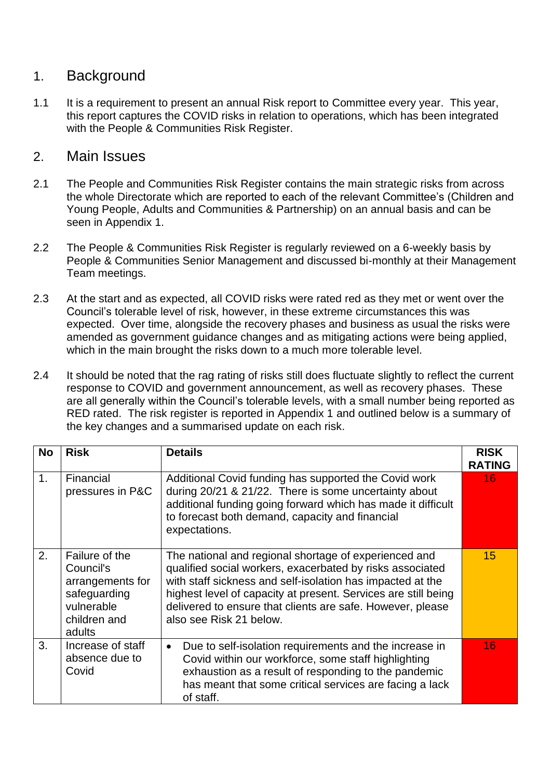## 1. Background

1.1 It is a requirement to present an annual Risk report to Committee every year. This year, this report captures the COVID risks in relation to operations, which has been integrated with the People & Communities Risk Register.

## 2. Main Issues

- 2.1 The People and Communities Risk Register contains the main strategic risks from across the whole Directorate which are reported to each of the relevant Committee's (Children and Young People, Adults and Communities & Partnership) on an annual basis and can be seen in Appendix 1.
- 2.2 The People & Communities Risk Register is regularly reviewed on a 6-weekly basis by People & Communities Senior Management and discussed bi-monthly at their Management Team meetings.
- 2.3 At the start and as expected, all COVID risks were rated red as they met or went over the Council's tolerable level of risk, however, in these extreme circumstances this was expected. Over time, alongside the recovery phases and business as usual the risks were amended as government guidance changes and as mitigating actions were being applied, which in the main brought the risks down to a much more tolerable level.
- 2.4 It should be noted that the rag rating of risks still does fluctuate slightly to reflect the current response to COVID and government announcement, as well as recovery phases. These are all generally within the Council's tolerable levels, with a small number being reported as RED rated. The risk register is reported in Appendix 1 and outlined below is a summary of the key changes and a summarised update on each risk.

| <b>No</b>      | <b>Risk</b>                                                                                             | <b>Details</b>                                                                                                                                                                                                                                                                                                                              | <b>RISK</b><br><b>RATING</b> |  |  |
|----------------|---------------------------------------------------------------------------------------------------------|---------------------------------------------------------------------------------------------------------------------------------------------------------------------------------------------------------------------------------------------------------------------------------------------------------------------------------------------|------------------------------|--|--|
| 1 <sub>1</sub> | Financial<br>pressures in P&C                                                                           | Additional Covid funding has supported the Covid work<br>during 20/21 & 21/22. There is some uncertainty about<br>additional funding going forward which has made it difficult<br>to forecast both demand, capacity and financial<br>expectations.                                                                                          | 16                           |  |  |
| 2.             | Failure of the<br>Council's<br>arrangements for<br>safeguarding<br>vulnerable<br>children and<br>adults | The national and regional shortage of experienced and<br>qualified social workers, exacerbated by risks associated<br>with staff sickness and self-isolation has impacted at the<br>highest level of capacity at present. Services are still being<br>delivered to ensure that clients are safe. However, please<br>also see Risk 21 below. |                              |  |  |
| 3.             | Increase of staff<br>absence due to<br>Covid                                                            | Due to self-isolation requirements and the increase in<br>$\bullet$<br>Covid within our workforce, some staff highlighting<br>exhaustion as a result of responding to the pandemic<br>has meant that some critical services are facing a lack<br>of staff.                                                                                  | 16                           |  |  |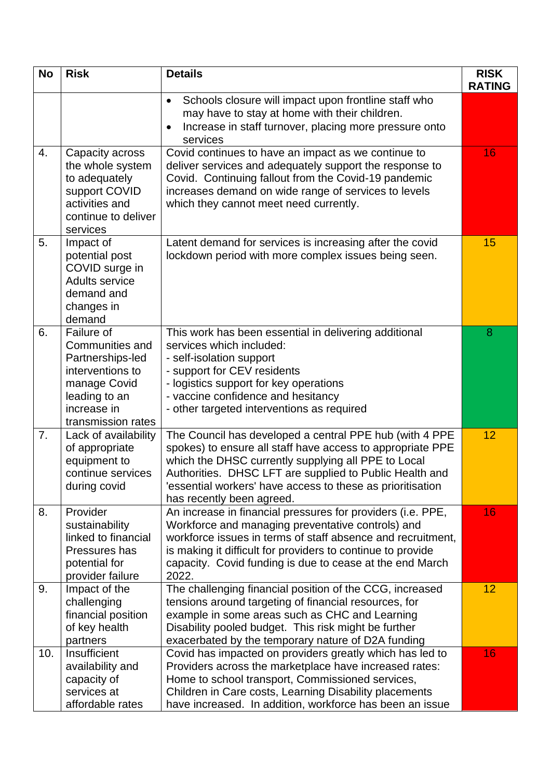| <b>No</b> | <b>Risk</b>                                                                                                                                 | <b>Details</b>                                                                                                                                                                                                                                                                                                                     | <b>RISK</b><br><b>RATING</b> |
|-----------|---------------------------------------------------------------------------------------------------------------------------------------------|------------------------------------------------------------------------------------------------------------------------------------------------------------------------------------------------------------------------------------------------------------------------------------------------------------------------------------|------------------------------|
|           |                                                                                                                                             | Schools closure will impact upon frontline staff who<br>$\bullet$<br>may have to stay at home with their children.<br>Increase in staff turnover, placing more pressure onto<br>services                                                                                                                                           |                              |
| 4.        | Capacity across<br>the whole system<br>to adequately<br>support COVID<br>activities and<br>continue to deliver<br>services                  | Covid continues to have an impact as we continue to<br>deliver services and adequately support the response to<br>Covid. Continuing fallout from the Covid-19 pandemic<br>increases demand on wide range of services to levels<br>which they cannot meet need currently.                                                           | 16                           |
| 5.        | Impact of<br>potential post<br>COVID surge in<br><b>Adults service</b><br>demand and<br>changes in<br>demand                                | Latent demand for services is increasing after the covid<br>lockdown period with more complex issues being seen.                                                                                                                                                                                                                   | 15                           |
| 6.        | Failure of<br>Communities and<br>Partnerships-led<br>interventions to<br>manage Covid<br>leading to an<br>increase in<br>transmission rates | This work has been essential in delivering additional<br>services which included:<br>- self-isolation support<br>- support for CEV residents<br>- logistics support for key operations<br>- vaccine confidence and hesitancy<br>- other targeted interventions as required                                                         | 8                            |
| 7.        | Lack of availability<br>of appropriate<br>equipment to<br>continue services<br>during covid                                                 | The Council has developed a central PPE hub (with 4 PPE<br>spokes) to ensure all staff have access to appropriate PPE<br>which the DHSC currently supplying all PPE to Local<br>Authorities. DHSC LFT are supplied to Public Health and<br>'essential workers' have access to these as prioritisation<br>has recently been agreed. | 12                           |
| 8.        | Provider<br>sustainability<br>linked to financial<br>Pressures has<br>potential for<br>provider failure                                     | An increase in financial pressures for providers (i.e. PPE,<br>Workforce and managing preventative controls) and<br>workforce issues in terms of staff absence and recruitment,<br>is making it difficult for providers to continue to provide<br>capacity. Covid funding is due to cease at the end March<br>2022.                | 16                           |
| 9.        | Impact of the<br>challenging<br>financial position<br>of key health<br>partners                                                             | The challenging financial position of the CCG, increased<br>tensions around targeting of financial resources, for<br>example in some areas such as CHC and Learning<br>Disability pooled budget. This risk might be further<br>exacerbated by the temporary nature of D2A funding                                                  | 12                           |
| 10.       | Insufficient<br>availability and<br>capacity of<br>services at<br>affordable rates                                                          | Covid has impacted on providers greatly which has led to<br>Providers across the marketplace have increased rates:<br>Home to school transport, Commissioned services,<br>Children in Care costs, Learning Disability placements<br>have increased. In addition, workforce has been an issue                                       | 16                           |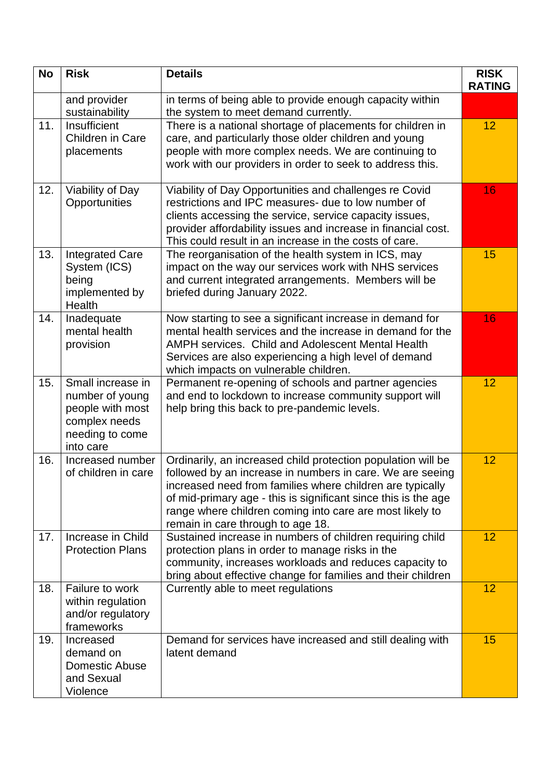| <b>No</b> | <b>Risk</b>                                                                                               | <b>Details</b>                                                                                                                                                                                                                                                                                                                                            | <b>RISK</b><br><b>RATING</b> |
|-----------|-----------------------------------------------------------------------------------------------------------|-----------------------------------------------------------------------------------------------------------------------------------------------------------------------------------------------------------------------------------------------------------------------------------------------------------------------------------------------------------|------------------------------|
|           | and provider<br>sustainability                                                                            | in terms of being able to provide enough capacity within<br>the system to meet demand currently.                                                                                                                                                                                                                                                          |                              |
| 11.       | Insufficient<br>Children in Care<br>placements                                                            | There is a national shortage of placements for children in<br>care, and particularly those older children and young<br>people with more complex needs. We are continuing to<br>work with our providers in order to seek to address this.                                                                                                                  | 12                           |
| 12.       | Viability of Day<br>Opportunities                                                                         | Viability of Day Opportunities and challenges re Covid<br>restrictions and IPC measures- due to low number of<br>clients accessing the service, service capacity issues,<br>provider affordability issues and increase in financial cost.<br>This could result in an increase in the costs of care.                                                       | 16                           |
| 13.       | <b>Integrated Care</b><br>System (ICS)<br>being<br>implemented by<br>Health                               | The reorganisation of the health system in ICS, may<br>impact on the way our services work with NHS services<br>and current integrated arrangements. Members will be<br>briefed during January 2022.                                                                                                                                                      | 15                           |
| 14.       | Inadequate<br>mental health<br>provision                                                                  | Now starting to see a significant increase in demand for<br>mental health services and the increase in demand for the<br><b>AMPH services. Child and Adolescent Mental Health</b><br>Services are also experiencing a high level of demand<br>which impacts on vulnerable children.                                                                       | 16                           |
| 15.       | Small increase in<br>number of young<br>people with most<br>complex needs<br>needing to come<br>into care | Permanent re-opening of schools and partner agencies<br>and end to lockdown to increase community support will<br>help bring this back to pre-pandemic levels.                                                                                                                                                                                            | 12                           |
| 16.       | Increased number<br>of children in care                                                                   | Ordinarily, an increased child protection population will be<br>followed by an increase in numbers in care. We are seeing<br>increased need from families where children are typically<br>of mid-primary age - this is significant since this is the age<br>range where children coming into care are most likely to<br>remain in care through to age 18. | 12                           |
| 17.       | Increase in Child<br><b>Protection Plans</b>                                                              | Sustained increase in numbers of children requiring child<br>protection plans in order to manage risks in the<br>community, increases workloads and reduces capacity to<br>bring about effective change for families and their children                                                                                                                   | 12                           |
| 18.       | Failure to work<br>within regulation<br>and/or regulatory<br>frameworks                                   | Currently able to meet regulations                                                                                                                                                                                                                                                                                                                        | 12                           |
| 19.       | Increased<br>demand on<br><b>Domestic Abuse</b><br>and Sexual<br>Violence                                 | Demand for services have increased and still dealing with<br>latent demand                                                                                                                                                                                                                                                                                | 15                           |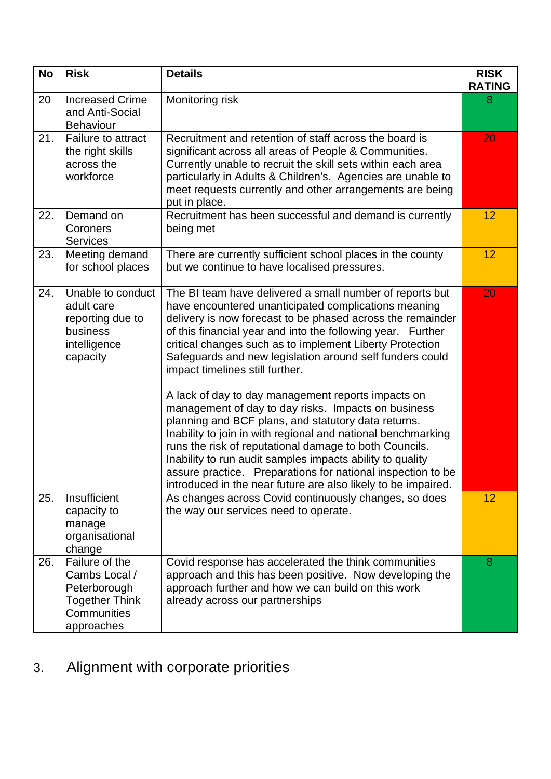| <b>No</b> | <b>Risk</b>                                                                                           | <b>Details</b>                                                                                                                                                                                                                                                                                                                                                                                                                                                                                                                                                                                                                                                                                                                                                                                                                                                                                      | <b>RISK</b><br><b>RATING</b> |
|-----------|-------------------------------------------------------------------------------------------------------|-----------------------------------------------------------------------------------------------------------------------------------------------------------------------------------------------------------------------------------------------------------------------------------------------------------------------------------------------------------------------------------------------------------------------------------------------------------------------------------------------------------------------------------------------------------------------------------------------------------------------------------------------------------------------------------------------------------------------------------------------------------------------------------------------------------------------------------------------------------------------------------------------------|------------------------------|
| 20        | <b>Increased Crime</b><br>and Anti-Social<br><b>Behaviour</b>                                         | Monitoring risk                                                                                                                                                                                                                                                                                                                                                                                                                                                                                                                                                                                                                                                                                                                                                                                                                                                                                     | 8                            |
| 21.       | <b>Failure to attract</b><br>the right skills<br>across the<br>workforce                              | Recruitment and retention of staff across the board is<br>significant across all areas of People & Communities.<br>Currently unable to recruit the skill sets within each area<br>particularly in Adults & Children's. Agencies are unable to<br>meet requests currently and other arrangements are being<br>put in place.                                                                                                                                                                                                                                                                                                                                                                                                                                                                                                                                                                          | 20                           |
| 22.       | Demand on<br>Coroners<br><b>Services</b>                                                              | Recruitment has been successful and demand is currently<br>being met                                                                                                                                                                                                                                                                                                                                                                                                                                                                                                                                                                                                                                                                                                                                                                                                                                | 12                           |
| 23.       | Meeting demand<br>for school places                                                                   | There are currently sufficient school places in the county<br>but we continue to have localised pressures.                                                                                                                                                                                                                                                                                                                                                                                                                                                                                                                                                                                                                                                                                                                                                                                          | 12                           |
| 24.       | Unable to conduct<br>adult care<br>reporting due to<br>business<br>intelligence<br>capacity           | The BI team have delivered a small number of reports but<br>have encountered unanticipated complications meaning<br>delivery is now forecast to be phased across the remainder<br>of this financial year and into the following year. Further<br>critical changes such as to implement Liberty Protection<br>Safeguards and new legislation around self funders could<br>impact timelines still further.<br>A lack of day to day management reports impacts on<br>management of day to day risks. Impacts on business<br>planning and BCF plans, and statutory data returns.<br>Inability to join in with regional and national benchmarking<br>runs the risk of reputational damage to both Councils.<br>Inability to run audit samples impacts ability to quality<br>assure practice. Preparations for national inspection to be<br>introduced in the near future are also likely to be impaired. | 20                           |
| 25.       | Insufficient<br>capacity to<br>manage<br>organisational<br>change                                     | As changes across Covid continuously changes, so does<br>the way our services need to operate.                                                                                                                                                                                                                                                                                                                                                                                                                                                                                                                                                                                                                                                                                                                                                                                                      | 12                           |
| 26.       | Failure of the<br>Cambs Local /<br>Peterborough<br><b>Together Think</b><br>Communities<br>approaches | Covid response has accelerated the think communities<br>approach and this has been positive. Now developing the<br>approach further and how we can build on this work<br>already across our partnerships                                                                                                                                                                                                                                                                                                                                                                                                                                                                                                                                                                                                                                                                                            | 8                            |

## 3. Alignment with corporate priorities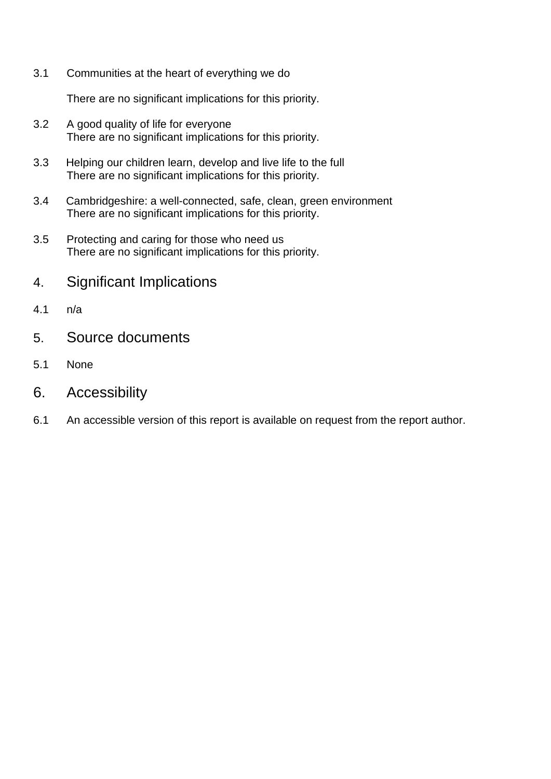3.1 Communities at the heart of everything we do

There are no significant implications for this priority.

- 3.2 A good quality of life for everyone There are no significant implications for this priority.
- 3.3 Helping our children learn, develop and live life to the full There are no significant implications for this priority.
- 3.4 Cambridgeshire: a well-connected, safe, clean, green environment There are no significant implications for this priority.
- 3.5 Protecting and caring for those who need us There are no significant implications for this priority.
- 4. Significant Implications
- 4.1 n/a
- 5. Source documents
- 5.1 None
- 6. Accessibility
- 6.1 An accessible version of this report is available on request from the report author.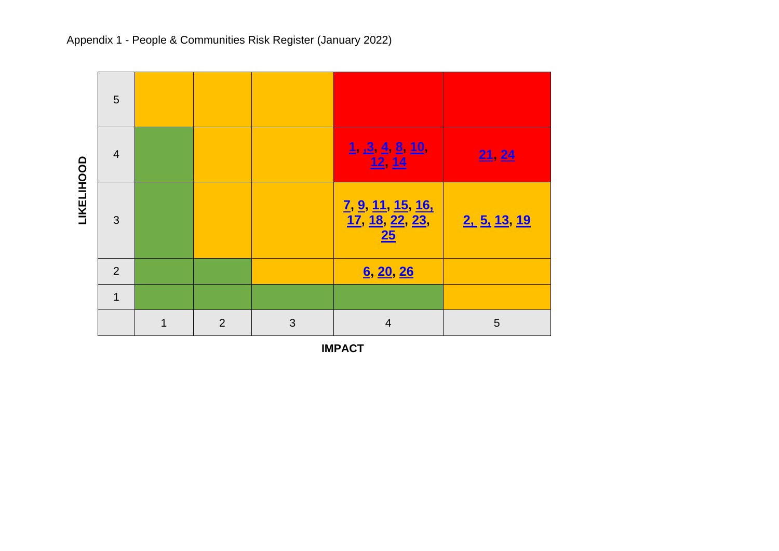

Appendix 1 - People & Communities Risk Register (January 2022)

**IMPACT**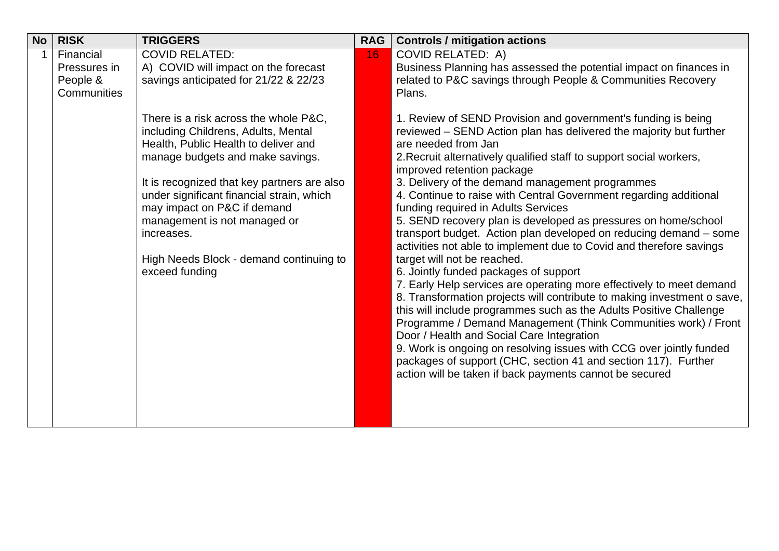<span id="page-7-0"></span>

| <b>No</b> | <b>RISK</b>               | <b>TRIGGERS</b>                                                              | <b>RAG</b> | <b>Controls / mitigation actions</b>                                                                                                            |
|-----------|---------------------------|------------------------------------------------------------------------------|------------|-------------------------------------------------------------------------------------------------------------------------------------------------|
|           | Financial<br>Pressures in | <b>COVID RELATED:</b><br>A) COVID will impact on the forecast                | 16         | <b>COVID RELATED: A)</b><br>Business Planning has assessed the potential impact on finances in                                                  |
|           | People &                  | savings anticipated for 21/22 & 22/23                                        |            | related to P&C savings through People & Communities Recovery                                                                                    |
|           | Communities               |                                                                              |            | Plans.                                                                                                                                          |
|           |                           | There is a risk across the whole P&C,<br>including Childrens, Adults, Mental |            | 1. Review of SEND Provision and government's funding is being<br>reviewed – SEND Action plan has delivered the majority but further             |
|           |                           | Health, Public Health to deliver and                                         |            | are needed from Jan                                                                                                                             |
|           |                           | manage budgets and make savings.                                             |            | 2. Recruit alternatively qualified staff to support social workers,<br>improved retention package                                               |
|           |                           | It is recognized that key partners are also                                  |            | 3. Delivery of the demand management programmes                                                                                                 |
|           |                           | under significant financial strain, which<br>may impact on P&C if demand     |            | 4. Continue to raise with Central Government regarding additional<br>funding required in Adults Services                                        |
|           |                           | management is not managed or                                                 |            | 5. SEND recovery plan is developed as pressures on home/school                                                                                  |
|           |                           | increases.                                                                   |            | transport budget. Action plan developed on reducing demand – some<br>activities not able to implement due to Covid and therefore savings        |
|           |                           | High Needs Block - demand continuing to                                      |            | target will not be reached.                                                                                                                     |
|           |                           | exceed funding                                                               |            | 6. Jointly funded packages of support                                                                                                           |
|           |                           |                                                                              |            | 7. Early Help services are operating more effectively to meet demand<br>8. Transformation projects will contribute to making investment o save, |
|           |                           |                                                                              |            | this will include programmes such as the Adults Positive Challenge                                                                              |
|           |                           |                                                                              |            | Programme / Demand Management (Think Communities work) / Front                                                                                  |
|           |                           |                                                                              |            | Door / Health and Social Care Integration                                                                                                       |
|           |                           |                                                                              |            | 9. Work is ongoing on resolving issues with CCG over jointly funded<br>packages of support (CHC, section 41 and section 117). Further           |
|           |                           |                                                                              |            | action will be taken if back payments cannot be secured                                                                                         |
|           |                           |                                                                              |            |                                                                                                                                                 |
|           |                           |                                                                              |            |                                                                                                                                                 |
|           |                           |                                                                              |            |                                                                                                                                                 |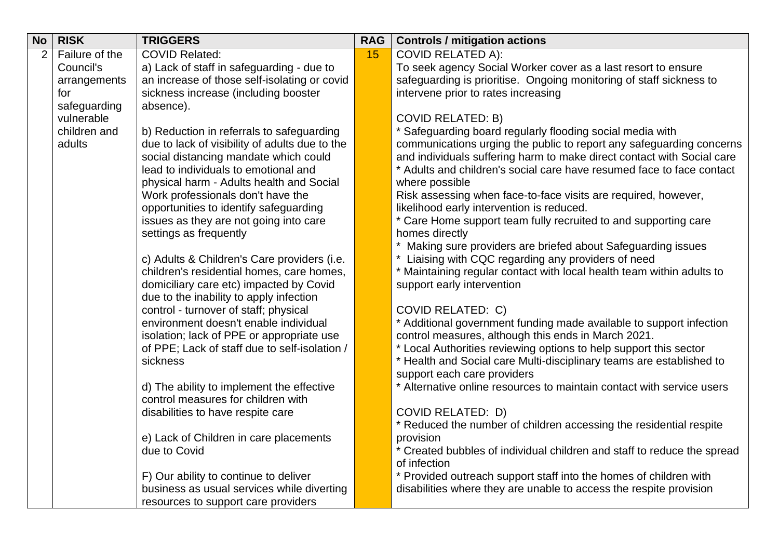<span id="page-8-0"></span>

| <b>No</b> | <b>RISK</b>    | <b>TRIGGERS</b>                                                                      | <b>RAG</b> | <b>Controls / mitigation actions</b>                                                                |
|-----------|----------------|--------------------------------------------------------------------------------------|------------|-----------------------------------------------------------------------------------------------------|
|           | Failure of the | <b>COVID Related:</b>                                                                | 15         | <b>COVID RELATED A):</b>                                                                            |
|           | Council's      | a) Lack of staff in safeguarding - due to                                            |            | To seek agency Social Worker cover as a last resort to ensure                                       |
|           | arrangements   | an increase of those self-isolating or covid                                         |            | safeguarding is prioritise. Ongoing monitoring of staff sickness to                                 |
|           | for            | sickness increase (including booster                                                 |            | intervene prior to rates increasing                                                                 |
|           | safeguarding   | absence).                                                                            |            |                                                                                                     |
|           | vulnerable     |                                                                                      |            | <b>COVID RELATED: B)</b>                                                                            |
|           | children and   | b) Reduction in referrals to safeguarding                                            |            | * Safeguarding board regularly flooding social media with                                           |
|           | adults         | due to lack of visibility of adults due to the                                       |            | communications urging the public to report any safeguarding concerns                                |
|           |                | social distancing mandate which could                                                |            | and individuals suffering harm to make direct contact with Social care                              |
|           |                | lead to individuals to emotional and                                                 |            | * Adults and children's social care have resumed face to face contact                               |
|           |                | physical harm - Adults health and Social                                             |            | where possible                                                                                      |
|           |                | Work professionals don't have the                                                    |            | Risk assessing when face-to-face visits are required, however,                                      |
|           |                | opportunities to identify safeguarding                                               |            | likelihood early intervention is reduced.                                                           |
|           |                | issues as they are not going into care                                               |            | * Care Home support team fully recruited to and supporting care                                     |
|           |                | settings as frequently                                                               |            | homes directly                                                                                      |
|           |                |                                                                                      |            | Making sure providers are briefed about Safeguarding issues                                         |
|           |                | c) Adults & Children's Care providers (i.e.                                          |            | Liaising with CQC regarding any providers of need                                                   |
|           |                | children's residential homes, care homes,<br>domiciliary care etc) impacted by Covid |            | * Maintaining regular contact with local health team within adults to<br>support early intervention |
|           |                | due to the inability to apply infection                                              |            |                                                                                                     |
|           |                | control - turnover of staff; physical                                                |            | <b>COVID RELATED: C)</b>                                                                            |
|           |                | environment doesn't enable individual                                                |            | * Additional government funding made available to support infection                                 |
|           |                | isolation; lack of PPE or appropriate use                                            |            | control measures, although this ends in March 2021.                                                 |
|           |                | of PPE; Lack of staff due to self-isolation /                                        |            | * Local Authorities reviewing options to help support this sector                                   |
|           |                | sickness                                                                             |            | * Health and Social care Multi-disciplinary teams are established to                                |
|           |                |                                                                                      |            | support each care providers                                                                         |
|           |                | d) The ability to implement the effective                                            |            | * Alternative online resources to maintain contact with service users                               |
|           |                | control measures for children with                                                   |            |                                                                                                     |
|           |                | disabilities to have respite care                                                    |            | <b>COVID RELATED: D)</b>                                                                            |
|           |                |                                                                                      |            | Reduced the number of children accessing the residential respite                                    |
|           |                | e) Lack of Children in care placements                                               |            | provision                                                                                           |
|           |                | due to Covid                                                                         |            | * Created bubbles of individual children and staff to reduce the spread                             |
|           |                |                                                                                      |            | of infection                                                                                        |
|           |                | F) Our ability to continue to deliver                                                |            | * Provided outreach support staff into the homes of children with                                   |
|           |                | business as usual services while diverting                                           |            | disabilities where they are unable to access the respite provision                                  |
|           |                | resources to support care providers                                                  |            |                                                                                                     |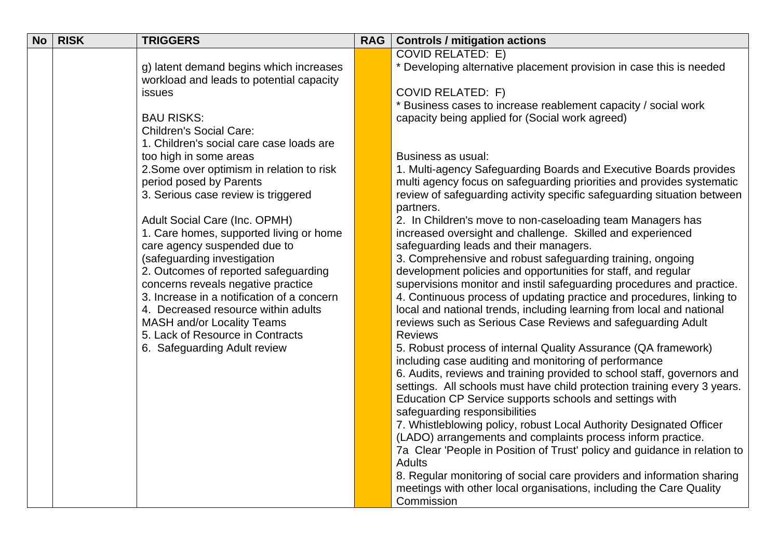| <b>No</b> | <b>RISK</b> | <b>TRIGGERS</b>                            | <b>RAG</b> | <b>Controls / mitigation actions</b>                                                                                                          |
|-----------|-------------|--------------------------------------------|------------|-----------------------------------------------------------------------------------------------------------------------------------------------|
|           |             |                                            |            | <b>COVID RELATED: E)</b>                                                                                                                      |
|           |             | g) latent demand begins which increases    |            | * Developing alternative placement provision in case this is needed                                                                           |
|           |             | workload and leads to potential capacity   |            |                                                                                                                                               |
|           |             | issues                                     |            | <b>COVID RELATED: F)</b>                                                                                                                      |
|           |             |                                            |            | Business cases to increase reablement capacity / social work                                                                                  |
|           |             | <b>BAU RISKS:</b>                          |            | capacity being applied for (Social work agreed)                                                                                               |
|           |             | <b>Children's Social Care:</b>             |            |                                                                                                                                               |
|           |             | 1. Children's social care case loads are   |            |                                                                                                                                               |
|           |             | too high in some areas                     |            | Business as usual:                                                                                                                            |
|           |             | 2. Some over optimism in relation to risk  |            | 1. Multi-agency Safeguarding Boards and Executive Boards provides                                                                             |
|           |             | period posed by Parents                    |            | multi agency focus on safeguarding priorities and provides systematic                                                                         |
|           |             | 3. Serious case review is triggered        |            | review of safeguarding activity specific safeguarding situation between                                                                       |
|           |             | Adult Social Care (Inc. OPMH)              |            | partners.<br>2. In Children's move to non-caseloading team Managers has                                                                       |
|           |             | 1. Care homes, supported living or home    |            | increased oversight and challenge. Skilled and experienced                                                                                    |
|           |             | care agency suspended due to               |            | safeguarding leads and their managers.                                                                                                        |
|           |             | (safeguarding investigation                |            | 3. Comprehensive and robust safeguarding training, ongoing                                                                                    |
|           |             | 2. Outcomes of reported safeguarding       |            | development policies and opportunities for staff, and regular                                                                                 |
|           |             | concerns reveals negative practice         |            | supervisions monitor and instil safeguarding procedures and practice.                                                                         |
|           |             | 3. Increase in a notification of a concern |            | 4. Continuous process of updating practice and procedures, linking to                                                                         |
|           |             | 4. Decreased resource within adults        |            | local and national trends, including learning from local and national                                                                         |
|           |             | <b>MASH and/or Locality Teams</b>          |            | reviews such as Serious Case Reviews and safeguarding Adult                                                                                   |
|           |             | 5. Lack of Resource in Contracts           |            | <b>Reviews</b>                                                                                                                                |
|           |             | 6. Safeguarding Adult review               |            | 5. Robust process of internal Quality Assurance (QA framework)                                                                                |
|           |             |                                            |            | including case auditing and monitoring of performance                                                                                         |
|           |             |                                            |            | 6. Audits, reviews and training provided to school staff, governors and                                                                       |
|           |             |                                            |            | settings. All schools must have child protection training every 3 years.                                                                      |
|           |             |                                            |            | Education CP Service supports schools and settings with                                                                                       |
|           |             |                                            |            | safeguarding responsibilities                                                                                                                 |
|           |             |                                            |            | 7. Whistleblowing policy, robust Local Authority Designated Officer                                                                           |
|           |             |                                            |            | (LADO) arrangements and complaints process inform practice.                                                                                   |
|           |             |                                            |            | 7a Clear 'People in Position of Trust' policy and guidance in relation to                                                                     |
|           |             |                                            |            | <b>Adults</b>                                                                                                                                 |
|           |             |                                            |            | 8. Regular monitoring of social care providers and information sharing<br>meetings with other local organisations, including the Care Quality |
|           |             |                                            |            | Commission                                                                                                                                    |
|           |             |                                            |            |                                                                                                                                               |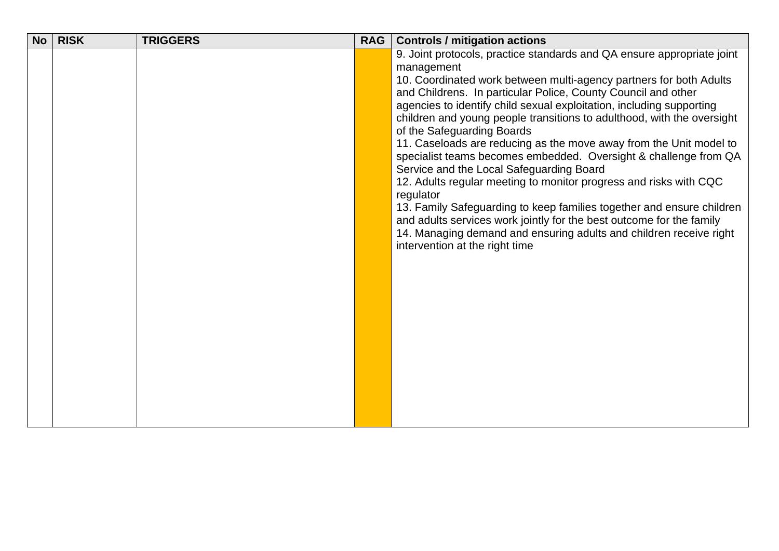| <b>No</b> | <b>RISK</b> | <b>TRIGGERS</b> | <b>RAG</b> | <b>Controls / mitigation actions</b>                                               |
|-----------|-------------|-----------------|------------|------------------------------------------------------------------------------------|
|           |             |                 |            | 9. Joint protocols, practice standards and QA ensure appropriate joint             |
|           |             |                 |            | management                                                                         |
|           |             |                 |            | 10. Coordinated work between multi-agency partners for both Adults                 |
|           |             |                 |            | and Childrens. In particular Police, County Council and other                      |
|           |             |                 |            | agencies to identify child sexual exploitation, including supporting               |
|           |             |                 |            | children and young people transitions to adulthood, with the oversight             |
|           |             |                 |            | of the Safeguarding Boards                                                         |
|           |             |                 |            | 11. Caseloads are reducing as the move away from the Unit model to                 |
|           |             |                 |            | specialist teams becomes embedded. Oversight & challenge from QA                   |
|           |             |                 |            | Service and the Local Safeguarding Board                                           |
|           |             |                 |            | 12. Adults regular meeting to monitor progress and risks with CQC                  |
|           |             |                 |            | regulator<br>13. Family Safeguarding to keep families together and ensure children |
|           |             |                 |            | and adults services work jointly for the best outcome for the family               |
|           |             |                 |            | 14. Managing demand and ensuring adults and children receive right                 |
|           |             |                 |            | intervention at the right time                                                     |
|           |             |                 |            |                                                                                    |
|           |             |                 |            |                                                                                    |
|           |             |                 |            |                                                                                    |
|           |             |                 |            |                                                                                    |
|           |             |                 |            |                                                                                    |
|           |             |                 |            |                                                                                    |
|           |             |                 |            |                                                                                    |
|           |             |                 |            |                                                                                    |
|           |             |                 |            |                                                                                    |
|           |             |                 |            |                                                                                    |
|           |             |                 |            |                                                                                    |
|           |             |                 |            |                                                                                    |
|           |             |                 |            |                                                                                    |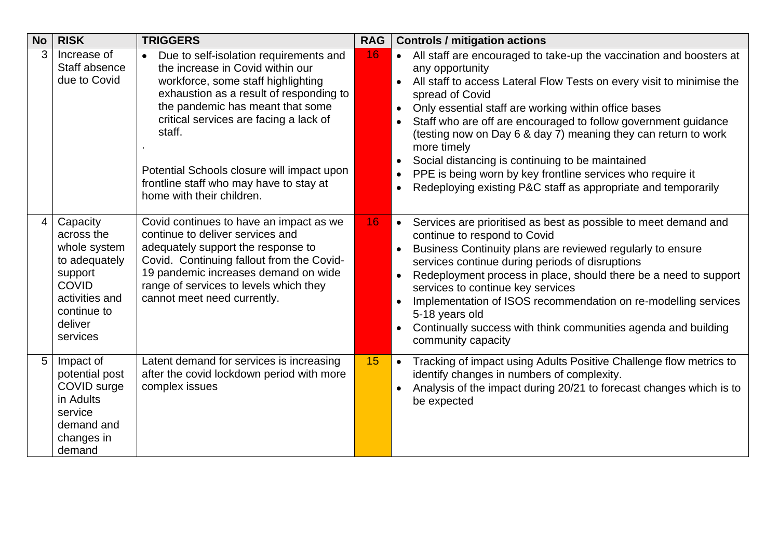<span id="page-11-2"></span><span id="page-11-1"></span><span id="page-11-0"></span>

| <b>No</b> | <b>RISK</b>                                                                                                                                | <b>TRIGGERS</b>                                                                                                                                                                                                                                                                                                                                                                        | <b>RAG</b> | <b>Controls / mitigation actions</b>                                                                                                                                                                                                                                                                                                                                                                                                                                                                                                                                                                                                 |
|-----------|--------------------------------------------------------------------------------------------------------------------------------------------|----------------------------------------------------------------------------------------------------------------------------------------------------------------------------------------------------------------------------------------------------------------------------------------------------------------------------------------------------------------------------------------|------------|--------------------------------------------------------------------------------------------------------------------------------------------------------------------------------------------------------------------------------------------------------------------------------------------------------------------------------------------------------------------------------------------------------------------------------------------------------------------------------------------------------------------------------------------------------------------------------------------------------------------------------------|
| 3         | Increase of<br>Staff absence<br>due to Covid                                                                                               | Due to self-isolation requirements and<br>$\bullet$<br>the increase in Covid within our<br>workforce, some staff highlighting<br>exhaustion as a result of responding to<br>the pandemic has meant that some<br>critical services are facing a lack of<br>staff.<br>Potential Schools closure will impact upon<br>frontline staff who may have to stay at<br>home with their children. | 16         | All staff are encouraged to take-up the vaccination and boosters at<br>any opportunity<br>All staff to access Lateral Flow Tests on every visit to minimise the<br>spread of Covid<br>Only essential staff are working within office bases<br>$\bullet$<br>Staff who are off are encouraged to follow government guidance<br>$\bullet$<br>(testing now on Day 6 & day 7) meaning they can return to work<br>more timely<br>Social distancing is continuing to be maintained<br>$\bullet$<br>PPE is being worn by key frontline services who require it<br>$\bullet$<br>Redeploying existing P&C staff as appropriate and temporarily |
|           | Capacity<br>across the<br>whole system<br>to adequately<br>support<br><b>COVID</b><br>activities and<br>continue to<br>deliver<br>services | Covid continues to have an impact as we<br>continue to deliver services and<br>adequately support the response to<br>Covid. Continuing fallout from the Covid-<br>19 pandemic increases demand on wide<br>range of services to levels which they<br>cannot meet need currently.                                                                                                        | 16         | Services are prioritised as best as possible to meet demand and<br>$\bullet$<br>continue to respond to Covid<br>Business Continuity plans are reviewed regularly to ensure<br>services continue during periods of disruptions<br>Redeployment process in place, should there be a need to support<br>$\bullet$<br>services to continue key services<br>Implementation of ISOS recommendation on re-modelling services<br>$\bullet$<br>5-18 years old<br>Continually success with think communities agenda and building<br>community capacity                                                                                         |
| 5         | Impact of<br>potential post<br>COVID surge<br>in Adults<br>service<br>demand and<br>changes in<br>demand                                   | Latent demand for services is increasing<br>after the covid lockdown period with more<br>complex issues                                                                                                                                                                                                                                                                                | 15         | Tracking of impact using Adults Positive Challenge flow metrics to<br>$\bullet$<br>identify changes in numbers of complexity.<br>Analysis of the impact during 20/21 to forecast changes which is to<br>$\bullet$<br>be expected                                                                                                                                                                                                                                                                                                                                                                                                     |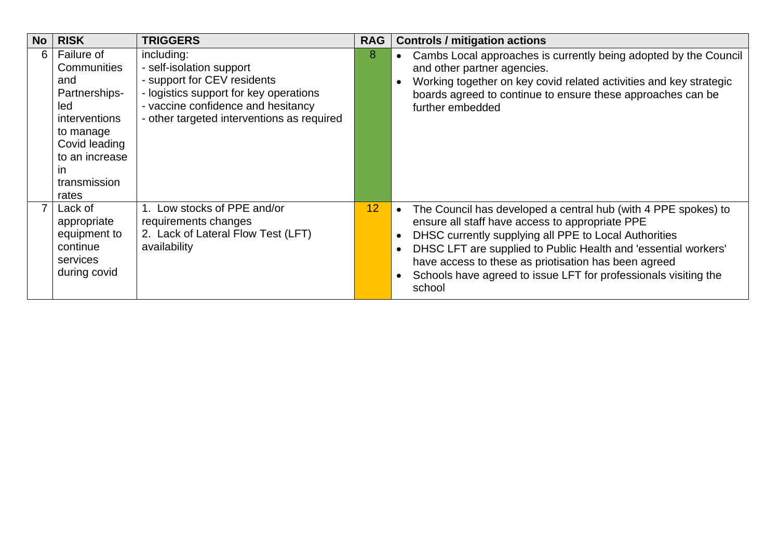<span id="page-12-1"></span><span id="page-12-0"></span>

| <b>No</b> | <b>RISK</b>                                                                                                                                                     | <b>TRIGGERS</b>                                                                                                                                                                                     | <b>RAG</b> | <b>Controls / mitigation actions</b>                                                                                                                                                                                                                                                                                                                                                           |
|-----------|-----------------------------------------------------------------------------------------------------------------------------------------------------------------|-----------------------------------------------------------------------------------------------------------------------------------------------------------------------------------------------------|------------|------------------------------------------------------------------------------------------------------------------------------------------------------------------------------------------------------------------------------------------------------------------------------------------------------------------------------------------------------------------------------------------------|
| 6         | Failure of<br>Communities<br>and<br>Partnerships-<br>led<br>interventions<br>to manage<br>Covid leading<br>to an increase<br><b>in</b><br>transmission<br>rates | including:<br>- self-isolation support<br>- support for CEV residents<br>- logistics support for key operations<br>- vaccine confidence and hesitancy<br>- other targeted interventions as required | 8          | Cambs Local approaches is currently being adopted by the Council<br>and other partner agencies.<br>Working together on key covid related activities and key strategic<br>boards agreed to continue to ensure these approaches can be<br>further embedded                                                                                                                                       |
|           | Lack of<br>appropriate<br>equipment to<br>continue<br>services<br>during covid                                                                                  | 1. Low stocks of PPE and/or<br>requirements changes<br>2. Lack of Lateral Flow Test (LFT)<br>availability                                                                                           | 12         | The Council has developed a central hub (with 4 PPE spokes) to<br>$\bullet$<br>ensure all staff have access to appropriate PPE<br>DHSC currently supplying all PPE to Local Authorities<br>DHSC LFT are supplied to Public Health and 'essential workers'<br>have access to these as priotisation has been agreed<br>Schools have agreed to issue LFT for professionals visiting the<br>school |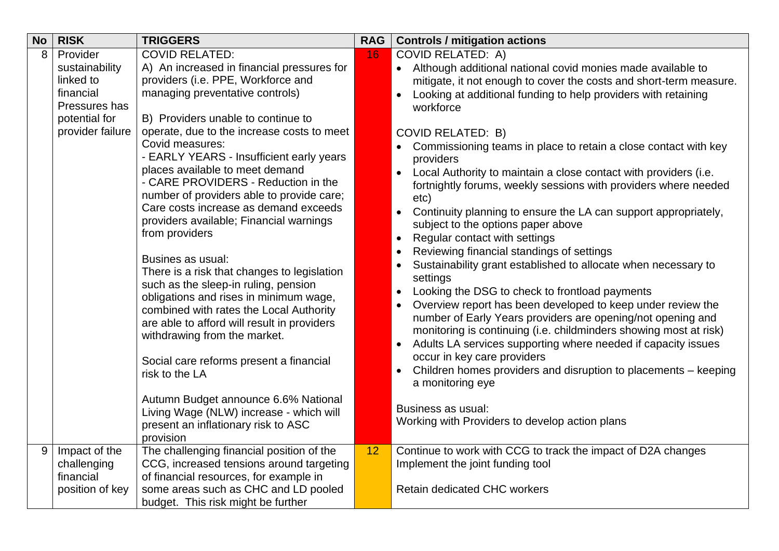<span id="page-13-1"></span><span id="page-13-0"></span>

| <b>No</b> | <b>RISK</b>                                                                            | <b>TRIGGERS</b>                                                                                                                                                                                                                                                                                                                           | <b>RAG</b> | <b>Controls / mitigation actions</b>                                                                                                                                                                                                                                                                                                                                                                                                                                                                                                                                                          |
|-----------|----------------------------------------------------------------------------------------|-------------------------------------------------------------------------------------------------------------------------------------------------------------------------------------------------------------------------------------------------------------------------------------------------------------------------------------------|------------|-----------------------------------------------------------------------------------------------------------------------------------------------------------------------------------------------------------------------------------------------------------------------------------------------------------------------------------------------------------------------------------------------------------------------------------------------------------------------------------------------------------------------------------------------------------------------------------------------|
| 8         | Provider<br>sustainability<br>linked to<br>financial<br>Pressures has<br>potential for | <b>COVID RELATED:</b><br>A) An increased in financial pressures for<br>providers (i.e. PPE, Workforce and<br>managing preventative controls)<br>B) Providers unable to continue to                                                                                                                                                        | 16         | <b>COVID RELATED: A)</b><br>• Although additional national covid monies made available to<br>mitigate, it not enough to cover the costs and short-term measure.<br>Looking at additional funding to help providers with retaining<br>$\bullet$<br>workforce                                                                                                                                                                                                                                                                                                                                   |
|           | provider failure                                                                       | operate, due to the increase costs to meet<br>Covid measures:<br>- EARLY YEARS - Insufficient early years<br>places available to meet demand<br>- CARE PROVIDERS - Reduction in the<br>number of providers able to provide care;<br>Care costs increase as demand exceeds<br>providers available; Financial warnings<br>from providers    |            | <b>COVID RELATED: B)</b><br>Commissioning teams in place to retain a close contact with key<br>providers<br>Local Authority to maintain a close contact with providers (i.e.<br>$\bullet$<br>fortnightly forums, weekly sessions with providers where needed<br>etc)<br>Continuity planning to ensure the LA can support appropriately,<br>subject to the options paper above<br>Regular contact with settings<br>$\bullet$                                                                                                                                                                   |
|           |                                                                                        | Busines as usual:<br>There is a risk that changes to legislation<br>such as the sleep-in ruling, pension<br>obligations and rises in minimum wage,<br>combined with rates the Local Authority<br>are able to afford will result in providers<br>withdrawing from the market.<br>Social care reforms present a financial<br>risk to the LA |            | Reviewing financial standings of settings<br>$\bullet$<br>Sustainability grant established to allocate when necessary to<br>settings<br>Looking the DSG to check to frontload payments<br>$\bullet$<br>Overview report has been developed to keep under review the<br>number of Early Years providers are opening/not opening and<br>monitoring is continuing (i.e. childminders showing most at risk)<br>Adults LA services supporting where needed if capacity issues<br>occur in key care providers<br>Children homes providers and disruption to placements - keeping<br>a monitoring eye |
|           |                                                                                        | Autumn Budget announce 6.6% National<br>Living Wage (NLW) increase - which will<br>present an inflationary risk to ASC<br>provision                                                                                                                                                                                                       |            | Business as usual:<br>Working with Providers to develop action plans                                                                                                                                                                                                                                                                                                                                                                                                                                                                                                                          |
| 9         | Impact of the<br>challenging<br>financial<br>position of key                           | The challenging financial position of the<br>CCG, increased tensions around targeting<br>of financial resources, for example in<br>some areas such as CHC and LD pooled                                                                                                                                                                   | 12         | Continue to work with CCG to track the impact of D2A changes<br>Implement the joint funding tool<br><b>Retain dedicated CHC workers</b>                                                                                                                                                                                                                                                                                                                                                                                                                                                       |
|           |                                                                                        | budget. This risk might be further                                                                                                                                                                                                                                                                                                        |            |                                                                                                                                                                                                                                                                                                                                                                                                                                                                                                                                                                                               |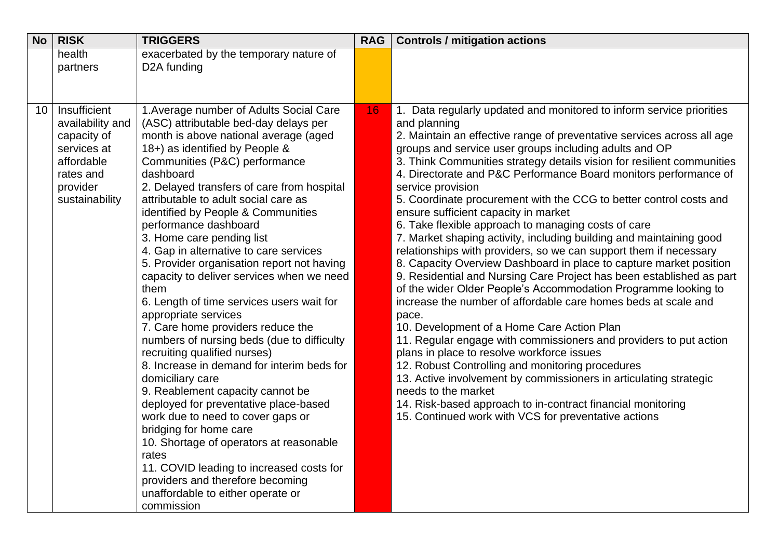<span id="page-14-0"></span>

| <b>No</b> | <b>RISK</b>                                                                  | <b>TRIGGERS</b>                                                                                                                                                                                                                                                                                                                                                                                                                                                                                                                                                                                                                                                                                                                                                                                                                                                                                                         | <b>RAG</b> | <b>Controls / mitigation actions</b>                                                                                                                                                                                                                                                                                                                                                                                                                                                                                                                                                                                                                                                                                                                                                                                                                                                                                                                                                                                                                                                                                                      |
|-----------|------------------------------------------------------------------------------|-------------------------------------------------------------------------------------------------------------------------------------------------------------------------------------------------------------------------------------------------------------------------------------------------------------------------------------------------------------------------------------------------------------------------------------------------------------------------------------------------------------------------------------------------------------------------------------------------------------------------------------------------------------------------------------------------------------------------------------------------------------------------------------------------------------------------------------------------------------------------------------------------------------------------|------------|-------------------------------------------------------------------------------------------------------------------------------------------------------------------------------------------------------------------------------------------------------------------------------------------------------------------------------------------------------------------------------------------------------------------------------------------------------------------------------------------------------------------------------------------------------------------------------------------------------------------------------------------------------------------------------------------------------------------------------------------------------------------------------------------------------------------------------------------------------------------------------------------------------------------------------------------------------------------------------------------------------------------------------------------------------------------------------------------------------------------------------------------|
|           | health<br>partners                                                           | exacerbated by the temporary nature of<br>D <sub>2</sub> A funding                                                                                                                                                                                                                                                                                                                                                                                                                                                                                                                                                                                                                                                                                                                                                                                                                                                      |            |                                                                                                                                                                                                                                                                                                                                                                                                                                                                                                                                                                                                                                                                                                                                                                                                                                                                                                                                                                                                                                                                                                                                           |
| 10        | Insufficient<br>availability and<br>capacity of<br>services at<br>affordable | 1. Average number of Adults Social Care<br>(ASC) attributable bed-day delays per<br>month is above national average (aged<br>18+) as identified by People &<br>Communities (P&C) performance                                                                                                                                                                                                                                                                                                                                                                                                                                                                                                                                                                                                                                                                                                                            | 16         | 1. Data regularly updated and monitored to inform service priorities<br>and planning<br>2. Maintain an effective range of preventative services across all age<br>groups and service user groups including adults and OP<br>3. Think Communities strategy details vision for resilient communities                                                                                                                                                                                                                                                                                                                                                                                                                                                                                                                                                                                                                                                                                                                                                                                                                                        |
|           | rates and<br>provider<br>sustainability                                      | dashboard<br>2. Delayed transfers of care from hospital<br>attributable to adult social care as<br>identified by People & Communities<br>performance dashboard<br>3. Home care pending list<br>4. Gap in alternative to care services<br>5. Provider organisation report not having<br>capacity to deliver services when we need<br>them<br>6. Length of time services users wait for<br>appropriate services<br>7. Care home providers reduce the<br>numbers of nursing beds (due to difficulty<br>recruiting qualified nurses)<br>8. Increase in demand for interim beds for<br>domiciliary care<br>9. Reablement capacity cannot be<br>deployed for preventative place-based<br>work due to need to cover gaps or<br>bridging for home care<br>10. Shortage of operators at reasonable<br>rates<br>11. COVID leading to increased costs for<br>providers and therefore becoming<br>unaffordable to either operate or |            | 4. Directorate and P&C Performance Board monitors performance of<br>service provision<br>5. Coordinate procurement with the CCG to better control costs and<br>ensure sufficient capacity in market<br>6. Take flexible approach to managing costs of care<br>7. Market shaping activity, including building and maintaining good<br>relationships with providers, so we can support them if necessary<br>8. Capacity Overview Dashboard in place to capture market position<br>9. Residential and Nursing Care Project has been established as part<br>of the wider Older People's Accommodation Programme looking to<br>increase the number of affordable care homes beds at scale and<br>pace.<br>10. Development of a Home Care Action Plan<br>11. Regular engage with commissioners and providers to put action<br>plans in place to resolve workforce issues<br>12. Robust Controlling and monitoring procedures<br>13. Active involvement by commissioners in articulating strategic<br>needs to the market<br>14. Risk-based approach to in-contract financial monitoring<br>15. Continued work with VCS for preventative actions |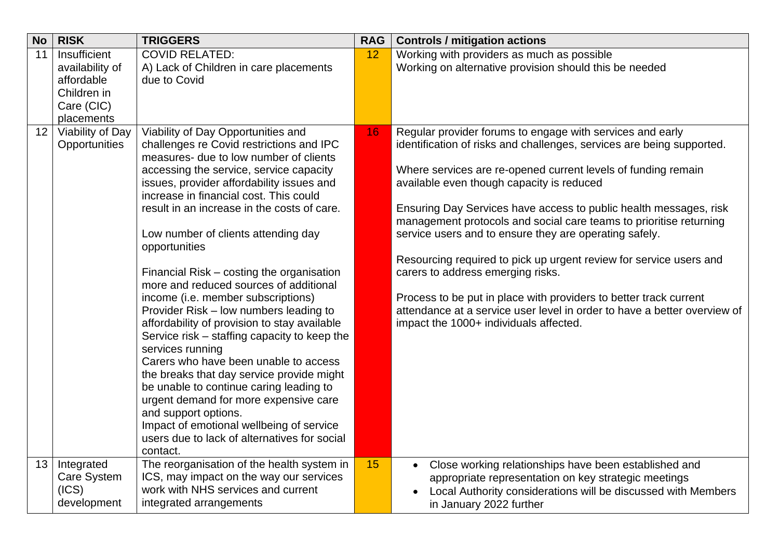<span id="page-15-2"></span><span id="page-15-1"></span><span id="page-15-0"></span>

| <b>No</b>       | <b>RISK</b>                                       | <b>TRIGGERS</b>                                                                                                                                                                                                                                                                                                                                                                                                                                                                                                                                                                                                                                                                                                                                                                               | <b>RAG</b> | <b>Controls / mitigation actions</b>                                                                                                                                                                                                                                                                                                                                                                                                                                                                                                                                                                                                                                                                                                                        |
|-----------------|---------------------------------------------------|-----------------------------------------------------------------------------------------------------------------------------------------------------------------------------------------------------------------------------------------------------------------------------------------------------------------------------------------------------------------------------------------------------------------------------------------------------------------------------------------------------------------------------------------------------------------------------------------------------------------------------------------------------------------------------------------------------------------------------------------------------------------------------------------------|------------|-------------------------------------------------------------------------------------------------------------------------------------------------------------------------------------------------------------------------------------------------------------------------------------------------------------------------------------------------------------------------------------------------------------------------------------------------------------------------------------------------------------------------------------------------------------------------------------------------------------------------------------------------------------------------------------------------------------------------------------------------------------|
| 11              | Insufficient<br>availability of<br>affordable     | <b>COVID RELATED:</b><br>A) Lack of Children in care placements<br>due to Covid                                                                                                                                                                                                                                                                                                                                                                                                                                                                                                                                                                                                                                                                                                               | 12         | Working with providers as much as possible<br>Working on alternative provision should this be needed                                                                                                                                                                                                                                                                                                                                                                                                                                                                                                                                                                                                                                                        |
|                 | Children in                                       |                                                                                                                                                                                                                                                                                                                                                                                                                                                                                                                                                                                                                                                                                                                                                                                               |            |                                                                                                                                                                                                                                                                                                                                                                                                                                                                                                                                                                                                                                                                                                                                                             |
|                 | Care (CIC)<br>placements                          |                                                                                                                                                                                                                                                                                                                                                                                                                                                                                                                                                                                                                                                                                                                                                                                               |            |                                                                                                                                                                                                                                                                                                                                                                                                                                                                                                                                                                                                                                                                                                                                                             |
| 12 <sub>1</sub> | Viability of Day<br>Opportunities                 | Viability of Day Opportunities and<br>challenges re Covid restrictions and IPC<br>measures- due to low number of clients<br>accessing the service, service capacity<br>issues, provider affordability issues and<br>increase in financial cost. This could<br>result in an increase in the costs of care.<br>Low number of clients attending day<br>opportunities<br>Financial Risk – costing the organisation<br>more and reduced sources of additional<br>income (i.e. member subscriptions)<br>Provider Risk – low numbers leading to<br>affordability of provision to stay available<br>Service risk – staffing capacity to keep the<br>services running<br>Carers who have been unable to access<br>the breaks that day service provide might<br>be unable to continue caring leading to | 16         | Regular provider forums to engage with services and early<br>identification of risks and challenges, services are being supported.<br>Where services are re-opened current levels of funding remain<br>available even though capacity is reduced<br>Ensuring Day Services have access to public health messages, risk<br>management protocols and social care teams to prioritise returning<br>service users and to ensure they are operating safely.<br>Resourcing required to pick up urgent review for service users and<br>carers to address emerging risks.<br>Process to be put in place with providers to better track current<br>attendance at a service user level in order to have a better overview of<br>impact the 1000+ individuals affected. |
|                 |                                                   | urgent demand for more expensive care<br>and support options.<br>Impact of emotional wellbeing of service<br>users due to lack of alternatives for social<br>contact.                                                                                                                                                                                                                                                                                                                                                                                                                                                                                                                                                                                                                         |            |                                                                                                                                                                                                                                                                                                                                                                                                                                                                                                                                                                                                                                                                                                                                                             |
| 13              | Integrated<br>Care System<br>(ICS)<br>development | The reorganisation of the health system in<br>ICS, may impact on the way our services<br>work with NHS services and current<br>integrated arrangements                                                                                                                                                                                                                                                                                                                                                                                                                                                                                                                                                                                                                                        | 15         | Close working relationships have been established and<br>$\bullet$<br>appropriate representation on key strategic meetings<br>Local Authority considerations will be discussed with Members<br>in January 2022 further                                                                                                                                                                                                                                                                                                                                                                                                                                                                                                                                      |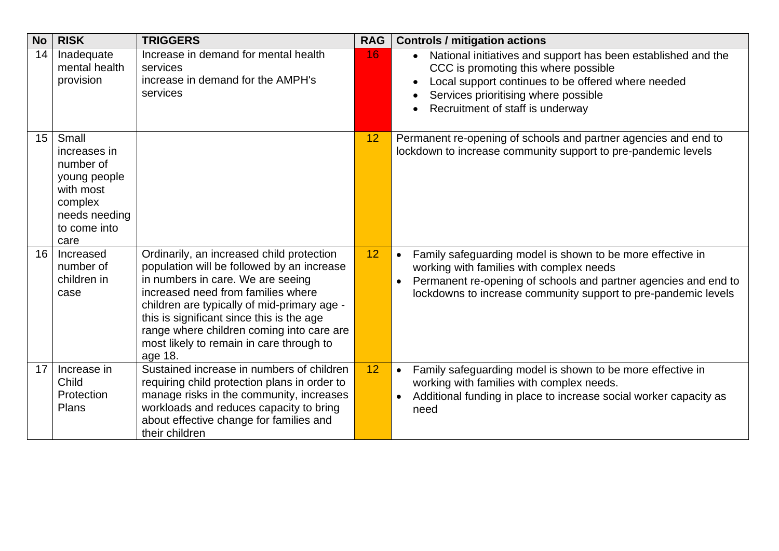<span id="page-16-3"></span><span id="page-16-2"></span><span id="page-16-1"></span><span id="page-16-0"></span>

| <b>No</b> | <b>RISK</b>                                                                                                         | <b>TRIGGERS</b>                                                                                                                                                                                                                                                                                                                                                    | <b>RAG</b> | <b>Controls / mitigation actions</b>                                                                                                                                                                                                                                  |
|-----------|---------------------------------------------------------------------------------------------------------------------|--------------------------------------------------------------------------------------------------------------------------------------------------------------------------------------------------------------------------------------------------------------------------------------------------------------------------------------------------------------------|------------|-----------------------------------------------------------------------------------------------------------------------------------------------------------------------------------------------------------------------------------------------------------------------|
| 14        | Inadequate<br>mental health<br>provision                                                                            | Increase in demand for mental health<br>services<br>increase in demand for the AMPH's<br>services                                                                                                                                                                                                                                                                  | 16         | National initiatives and support has been established and the<br>CCC is promoting this where possible<br>Local support continues to be offered where needed<br>Services prioritising where possible<br>Recruitment of staff is underway                               |
| 15        | Small<br>increases in<br>number of<br>young people<br>with most<br>complex<br>needs needing<br>to come into<br>care |                                                                                                                                                                                                                                                                                                                                                                    | 12         | Permanent re-opening of schools and partner agencies and end to<br>lockdown to increase community support to pre-pandemic levels                                                                                                                                      |
| 16        | Increased<br>number of<br>children in<br>case                                                                       | Ordinarily, an increased child protection<br>population will be followed by an increase<br>in numbers in care. We are seeing<br>increased need from families where<br>children are typically of mid-primary age -<br>this is significant since this is the age<br>range where children coming into care are<br>most likely to remain in care through to<br>age 18. | 12         | Family safeguarding model is shown to be more effective in<br>$\bullet$<br>working with families with complex needs<br>Permanent re-opening of schools and partner agencies and end to<br>$\bullet$<br>lockdowns to increase community support to pre-pandemic levels |
| 17        | Increase in<br>Child<br>Protection<br>Plans                                                                         | Sustained increase in numbers of children<br>requiring child protection plans in order to<br>manage risks in the community, increases<br>workloads and reduces capacity to bring<br>about effective change for families and<br>their children                                                                                                                      | 12         | Family safeguarding model is shown to be more effective in<br>$\bullet$<br>working with families with complex needs.<br>Additional funding in place to increase social worker capacity as<br>$\bullet$<br>need                                                        |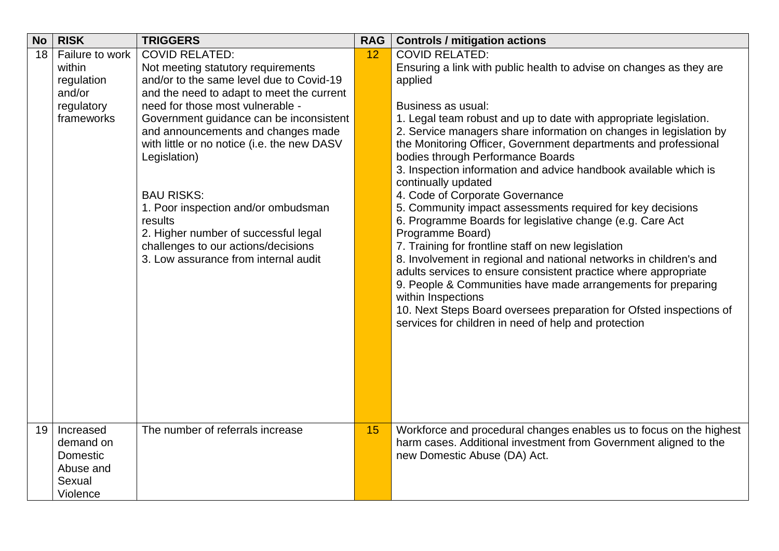<span id="page-17-1"></span><span id="page-17-0"></span>

| <b>No</b> | <b>RISK</b>     | <b>TRIGGERS</b>                                                                   | <b>RAG</b> | <b>Controls / mitigation actions</b>                                                                                                    |
|-----------|-----------------|-----------------------------------------------------------------------------------|------------|-----------------------------------------------------------------------------------------------------------------------------------------|
| 18        | Failure to work | <b>COVID RELATED:</b>                                                             | 12         | <b>COVID RELATED:</b>                                                                                                                   |
|           | within          | Not meeting statutory requirements                                                |            | Ensuring a link with public health to advise on changes as they are                                                                     |
|           | regulation      | and/or to the same level due to Covid-19                                          |            | applied                                                                                                                                 |
|           | and/or          | and the need to adapt to meet the current                                         |            |                                                                                                                                         |
|           | regulatory      | need for those most vulnerable -                                                  |            | Business as usual:                                                                                                                      |
|           | frameworks      | Government guidance can be inconsistent                                           |            | 1. Legal team robust and up to date with appropriate legislation.                                                                       |
|           |                 | and announcements and changes made<br>with little or no notice (i.e. the new DASV |            | 2. Service managers share information on changes in legislation by<br>the Monitoring Officer, Government departments and professional   |
|           |                 | Legislation)                                                                      |            | bodies through Performance Boards                                                                                                       |
|           |                 |                                                                                   |            | 3. Inspection information and advice handbook available which is                                                                        |
|           |                 |                                                                                   |            | continually updated                                                                                                                     |
|           |                 | <b>BAU RISKS:</b>                                                                 |            | 4. Code of Corporate Governance                                                                                                         |
|           |                 | 1. Poor inspection and/or ombudsman                                               |            | 5. Community impact assessments required for key decisions                                                                              |
|           |                 | results                                                                           |            | 6. Programme Boards for legislative change (e.g. Care Act                                                                               |
|           |                 | 2. Higher number of successful legal                                              |            | Programme Board)                                                                                                                        |
|           |                 | challenges to our actions/decisions                                               |            | 7. Training for frontline staff on new legislation                                                                                      |
|           |                 | 3. Low assurance from internal audit                                              |            | 8. Involvement in regional and national networks in children's and                                                                      |
|           |                 |                                                                                   |            | adults services to ensure consistent practice where appropriate                                                                         |
|           |                 |                                                                                   |            | 9. People & Communities have made arrangements for preparing                                                                            |
|           |                 |                                                                                   |            | within Inspections                                                                                                                      |
|           |                 |                                                                                   |            | 10. Next Steps Board oversees preparation for Ofsted inspections of                                                                     |
|           |                 |                                                                                   |            | services for children in need of help and protection                                                                                    |
|           |                 |                                                                                   |            |                                                                                                                                         |
|           |                 |                                                                                   |            |                                                                                                                                         |
|           |                 |                                                                                   |            |                                                                                                                                         |
|           |                 |                                                                                   |            |                                                                                                                                         |
|           |                 |                                                                                   |            |                                                                                                                                         |
|           |                 |                                                                                   |            |                                                                                                                                         |
| 19        | Increased       | The number of referrals increase                                                  | 15         |                                                                                                                                         |
|           | demand on       |                                                                                   |            | Workforce and procedural changes enables us to focus on the highest<br>harm cases. Additional investment from Government aligned to the |
|           | Domestic        |                                                                                   |            | new Domestic Abuse (DA) Act.                                                                                                            |
|           | Abuse and       |                                                                                   |            |                                                                                                                                         |
|           | Sexual          |                                                                                   |            |                                                                                                                                         |
|           | Violence        |                                                                                   |            |                                                                                                                                         |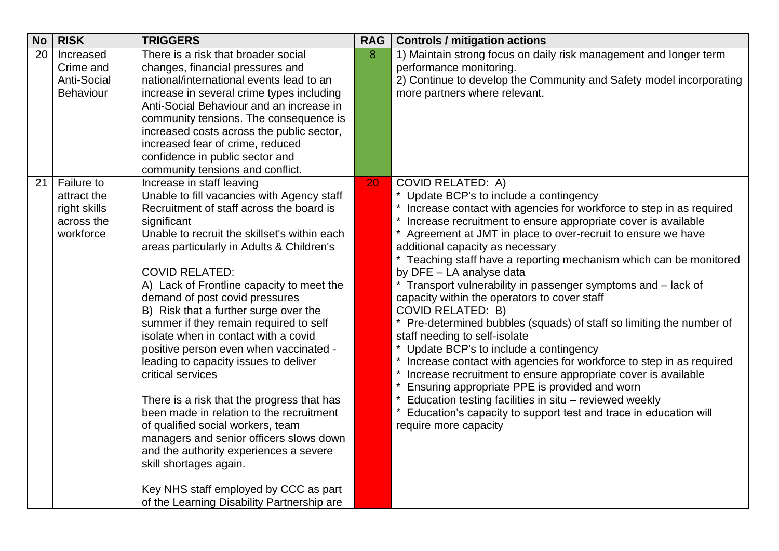<span id="page-18-1"></span><span id="page-18-0"></span>

| <b>No</b> | <b>RISK</b>                                                                 | <b>TRIGGERS</b>                                                                                                                                                                                                                                                                                                                                                                                                                                                                                                                                                                                                                                                                                                                                                                                                                                                                                                 | <b>RAG</b> | <b>Controls / mitigation actions</b>                                                                                                                                                                                                                                                                                                                                                                                                                                                                                                                                                                                                                                                                                                                                                                                                                                                                                                                                                                                                                                |
|-----------|-----------------------------------------------------------------------------|-----------------------------------------------------------------------------------------------------------------------------------------------------------------------------------------------------------------------------------------------------------------------------------------------------------------------------------------------------------------------------------------------------------------------------------------------------------------------------------------------------------------------------------------------------------------------------------------------------------------------------------------------------------------------------------------------------------------------------------------------------------------------------------------------------------------------------------------------------------------------------------------------------------------|------------|---------------------------------------------------------------------------------------------------------------------------------------------------------------------------------------------------------------------------------------------------------------------------------------------------------------------------------------------------------------------------------------------------------------------------------------------------------------------------------------------------------------------------------------------------------------------------------------------------------------------------------------------------------------------------------------------------------------------------------------------------------------------------------------------------------------------------------------------------------------------------------------------------------------------------------------------------------------------------------------------------------------------------------------------------------------------|
| 20        | Increased<br>Crime and<br><b>Anti-Social</b><br><b>Behaviour</b>            | There is a risk that broader social<br>changes, financial pressures and<br>national/international events lead to an<br>increase in several crime types including<br>Anti-Social Behaviour and an increase in<br>community tensions. The consequence is<br>increased costs across the public sector,<br>increased fear of crime, reduced<br>confidence in public sector and<br>community tensions and conflict.                                                                                                                                                                                                                                                                                                                                                                                                                                                                                                  | 8          | 1) Maintain strong focus on daily risk management and longer term<br>performance monitoring.<br>2) Continue to develop the Community and Safety model incorporating<br>more partners where relevant.                                                                                                                                                                                                                                                                                                                                                                                                                                                                                                                                                                                                                                                                                                                                                                                                                                                                |
| 21        | <b>Failure to</b><br>attract the<br>right skills<br>across the<br>workforce | Increase in staff leaving<br>Unable to fill vacancies with Agency staff<br>Recruitment of staff across the board is<br>significant<br>Unable to recruit the skillset's within each<br>areas particularly in Adults & Children's<br><b>COVID RELATED:</b><br>A) Lack of Frontline capacity to meet the<br>demand of post covid pressures<br>B) Risk that a further surge over the<br>summer if they remain required to self<br>isolate when in contact with a covid<br>positive person even when vaccinated -<br>leading to capacity issues to deliver<br>critical services<br>There is a risk that the progress that has<br>been made in relation to the recruitment<br>of qualified social workers, team<br>managers and senior officers slows down<br>and the authority experiences a severe<br>skill shortages again.<br>Key NHS staff employed by CCC as part<br>of the Learning Disability Partnership are | 20         | <b>COVID RELATED: A)</b><br>* Update BCP's to include a contingency<br>* Increase contact with agencies for workforce to step in as required<br>Increase recruitment to ensure appropriate cover is available<br>* Agreement at JMT in place to over-recruit to ensure we have<br>additional capacity as necessary<br>* Teaching staff have a reporting mechanism which can be monitored<br>by DFE - LA analyse data<br>* Transport vulnerability in passenger symptoms and - lack of<br>capacity within the operators to cover staff<br><b>COVID RELATED: B)</b><br>* Pre-determined bubbles (squads) of staff so limiting the number of<br>staff needing to self-isolate<br>Update BCP's to include a contingency<br>Increase contact with agencies for workforce to step in as required<br>Increase recruitment to ensure appropriate cover is available<br>Ensuring appropriate PPE is provided and worn<br>Education testing facilities in situ - reviewed weekly<br>Education's capacity to support test and trace in education will<br>require more capacity |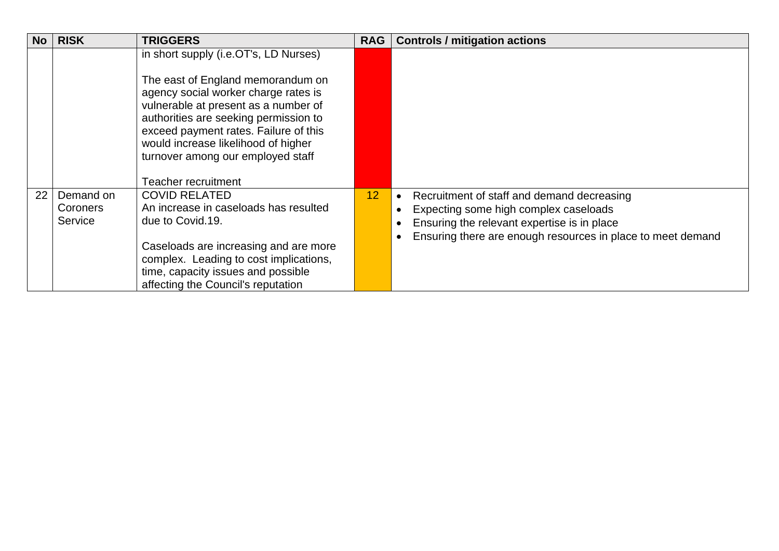<span id="page-19-0"></span>

| <b>No</b> | <b>RISK</b>                      | <b>TRIGGERS</b>                                                                                                                                                                                                                                                                                                                                        | <b>RAG</b> | <b>Controls / mitigation actions</b>                                                                                                                                                                                        |
|-----------|----------------------------------|--------------------------------------------------------------------------------------------------------------------------------------------------------------------------------------------------------------------------------------------------------------------------------------------------------------------------------------------------------|------------|-----------------------------------------------------------------------------------------------------------------------------------------------------------------------------------------------------------------------------|
|           |                                  | in short supply (i.e.OT's, LD Nurses)<br>The east of England memorandum on<br>agency social worker charge rates is<br>vulnerable at present as a number of<br>authorities are seeking permission to<br>exceed payment rates. Failure of this<br>would increase likelihood of higher<br>turnover among our employed staff<br><b>Teacher recruitment</b> |            |                                                                                                                                                                                                                             |
| 22        | Demand on<br>Coroners<br>Service | <b>COVID RELATED</b><br>An increase in caseloads has resulted<br>due to Covid.19.<br>Caseloads are increasing and are more<br>complex. Leading to cost implications,<br>time, capacity issues and possible<br>affecting the Council's reputation                                                                                                       | 12         | Recruitment of staff and demand decreasing<br>$\bullet$<br>Expecting some high complex caseloads<br>$\bullet$<br>Ensuring the relevant expertise is in place<br>Ensuring there are enough resources in place to meet demand |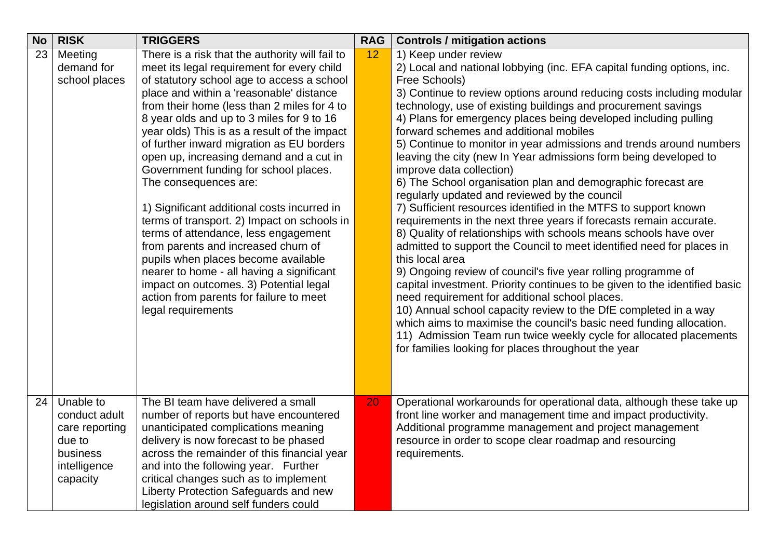<span id="page-20-1"></span><span id="page-20-0"></span>

| <b>No</b> | <b>RISK</b>                                                                                    | <b>TRIGGERS</b>                                                                                                                                                                                                                                                                                                                                                                                                                                                                                                                                                                                                                                                                                                                                                                                                                                                           | <b>RAG</b> | <b>Controls / mitigation actions</b>                                                                                                                                                                                                                                                                                                                                                                                                                                                                                                                                                                                                                                                                                                                                                                                                                                                                                                                                                                                                                                                                                                                                                                                                                                                                                                                                                                                                            |
|-----------|------------------------------------------------------------------------------------------------|---------------------------------------------------------------------------------------------------------------------------------------------------------------------------------------------------------------------------------------------------------------------------------------------------------------------------------------------------------------------------------------------------------------------------------------------------------------------------------------------------------------------------------------------------------------------------------------------------------------------------------------------------------------------------------------------------------------------------------------------------------------------------------------------------------------------------------------------------------------------------|------------|-------------------------------------------------------------------------------------------------------------------------------------------------------------------------------------------------------------------------------------------------------------------------------------------------------------------------------------------------------------------------------------------------------------------------------------------------------------------------------------------------------------------------------------------------------------------------------------------------------------------------------------------------------------------------------------------------------------------------------------------------------------------------------------------------------------------------------------------------------------------------------------------------------------------------------------------------------------------------------------------------------------------------------------------------------------------------------------------------------------------------------------------------------------------------------------------------------------------------------------------------------------------------------------------------------------------------------------------------------------------------------------------------------------------------------------------------|
| 23        | Meeting<br>demand for<br>school places                                                         | There is a risk that the authority will fail to<br>meet its legal requirement for every child<br>of statutory school age to access a school<br>place and within a 'reasonable' distance<br>from their home (less than 2 miles for 4 to<br>8 year olds and up to 3 miles for 9 to 16<br>year olds) This is as a result of the impact<br>of further inward migration as EU borders<br>open up, increasing demand and a cut in<br>Government funding for school places.<br>The consequences are:<br>1) Significant additional costs incurred in<br>terms of transport. 2) Impact on schools in<br>terms of attendance, less engagement<br>from parents and increased churn of<br>pupils when places become available<br>nearer to home - all having a significant<br>impact on outcomes. 3) Potential legal<br>action from parents for failure to meet<br>legal requirements | 12         | 1) Keep under review<br>2) Local and national lobbying (inc. EFA capital funding options, inc.<br>Free Schools)<br>3) Continue to review options around reducing costs including modular<br>technology, use of existing buildings and procurement savings<br>4) Plans for emergency places being developed including pulling<br>forward schemes and additional mobiles<br>5) Continue to monitor in year admissions and trends around numbers<br>leaving the city (new In Year admissions form being developed to<br>improve data collection)<br>6) The School organisation plan and demographic forecast are<br>regularly updated and reviewed by the council<br>7) Sufficient resources identified in the MTFS to support known<br>requirements in the next three years if forecasts remain accurate.<br>8) Quality of relationships with schools means schools have over<br>admitted to support the Council to meet identified need for places in<br>this local area<br>9) Ongoing review of council's five year rolling programme of<br>capital investment. Priority continues to be given to the identified basic<br>need requirement for additional school places.<br>10) Annual school capacity review to the DfE completed in a way<br>which aims to maximise the council's basic need funding allocation.<br>11) Admission Team run twice weekly cycle for allocated placements<br>for families looking for places throughout the year |
| 24        | Unable to<br>conduct adult<br>care reporting<br>due to<br>business<br>intelligence<br>capacity | The BI team have delivered a small<br>number of reports but have encountered<br>unanticipated complications meaning<br>delivery is now forecast to be phased<br>across the remainder of this financial year<br>and into the following year. Further<br>critical changes such as to implement<br>Liberty Protection Safeguards and new<br>legislation around self funders could                                                                                                                                                                                                                                                                                                                                                                                                                                                                                            | 20         | Operational workarounds for operational data, although these take up<br>front line worker and management time and impact productivity.<br>Additional programme management and project management<br>resource in order to scope clear roadmap and resourcing<br>requirements.                                                                                                                                                                                                                                                                                                                                                                                                                                                                                                                                                                                                                                                                                                                                                                                                                                                                                                                                                                                                                                                                                                                                                                    |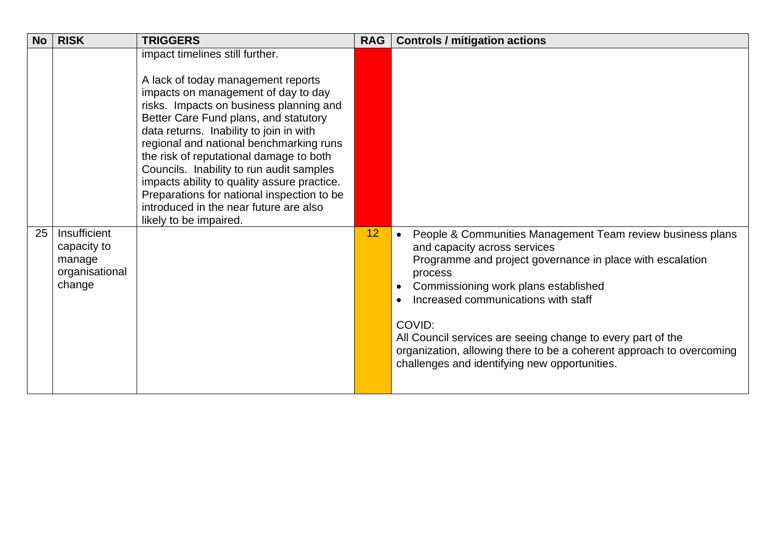<span id="page-21-0"></span>

| <b>No</b> | <b>RISK</b>                                                       | <b>TRIGGERS</b>                                                                                                                                                                                                                                                                                                                                                                                                                                                                                                                                | <b>RAG</b> | <b>Controls / mitigation actions</b>                                                                                                                                                                                                                                                                                                                                                                                                                             |
|-----------|-------------------------------------------------------------------|------------------------------------------------------------------------------------------------------------------------------------------------------------------------------------------------------------------------------------------------------------------------------------------------------------------------------------------------------------------------------------------------------------------------------------------------------------------------------------------------------------------------------------------------|------------|------------------------------------------------------------------------------------------------------------------------------------------------------------------------------------------------------------------------------------------------------------------------------------------------------------------------------------------------------------------------------------------------------------------------------------------------------------------|
|           |                                                                   | impact timelines still further.<br>A lack of today management reports<br>impacts on management of day to day<br>risks. Impacts on business planning and<br>Better Care Fund plans, and statutory<br>data returns. Inability to join in with<br>regional and national benchmarking runs<br>the risk of reputational damage to both<br>Councils. Inability to run audit samples<br>impacts ability to quality assure practice.<br>Preparations for national inspection to be<br>introduced in the near future are also<br>likely to be impaired. |            |                                                                                                                                                                                                                                                                                                                                                                                                                                                                  |
| 25        | Insufficient<br>capacity to<br>manage<br>organisational<br>change |                                                                                                                                                                                                                                                                                                                                                                                                                                                                                                                                                | 12         | People & Communities Management Team review business plans<br>$\bullet$<br>and capacity across services<br>Programme and project governance in place with escalation<br>process<br>Commissioning work plans established<br>Increased communications with staff<br>COVID:<br>All Council services are seeing change to every part of the<br>organization, allowing there to be a coherent approach to overcoming<br>challenges and identifying new opportunities. |